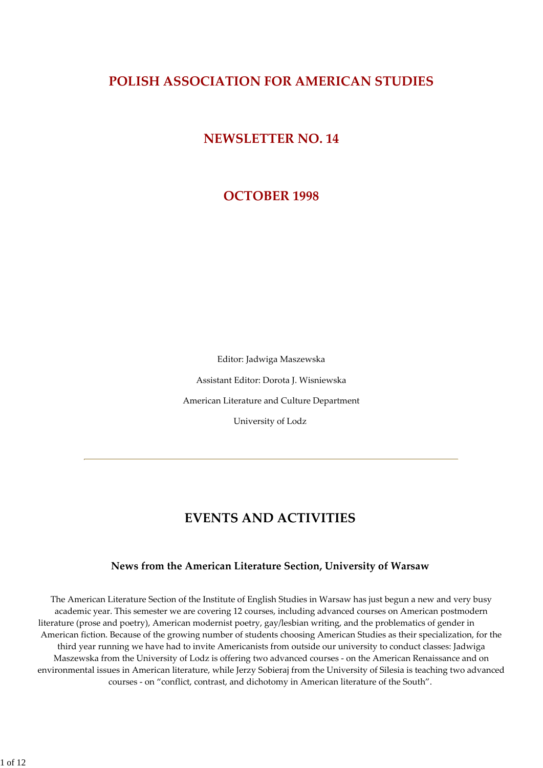# **POLISH ASSOCIATION FOR AMERICAN STUDIES**

# **NEWSLETTER NO. 14**

# **OCTOBER 1998**

Editor: Jadwiga Maszewska Assistant Editor: Dorota J. Wisniewska American Literature and Culture Department University of Lodz

# **EVENTS AND ACTIVITIES**

# **News from the American Literature Section, University of Warsaw**

The American Literature Section of the Institute of English Studies in Warsaw has just begun a new and very busy academic year. This semester we are covering 12 courses, including advanced courses on American postmodern literature (prose and poetry), American modernist poetry, gay/lesbian writing, and the problematics of gender in American fiction. Because of the growing number of students choosing American Studies as their specialization, for the third year running we have had to invite Americanists from outside our university to conduct classes: Jadwiga Maszewska from the University of Lodz is offering two advanced courses ‐ on the American Renaissance and on environmental issues in American literature, while Jerzy Sobieraj from the University of Silesia is teaching two advanced courses ‐ on "conflict, contrast, and dichotomy in American literature of the South".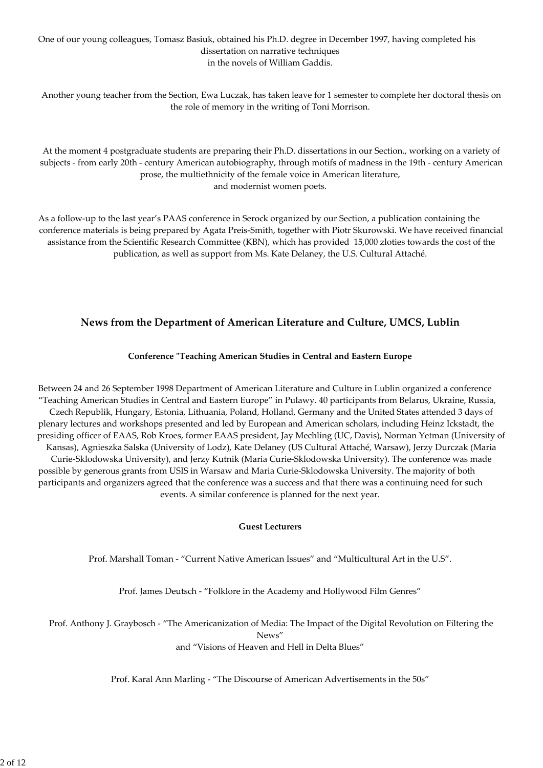## One of our young colleagues, Tomasz Basiuk, obtained his Ph.D. degree in December 1997, having completed his dissertation on narrative techniques in the novels of William Gaddis.

Another young teacher from the Section, Ewa Luczak, has taken leave for 1 semester to complete her doctoral thesis on the role of memory in the writing of Toni Morrison.

At the moment 4 postgraduate students are preparing their Ph.D. dissertations in our Section., working on a variety of subjects - from early 20th - century American autobiography, through motifs of madness in the 19th - century American prose, the multiethnicity of the female voice in American literature, and modernist women poets.

As a follow-up to the last year's PAAS conference in Serock organized by our Section, a publication containing the conference materials is being prepared by Agata Preis‐Smith, together with Piotr Skurowski. We have received financial assistance from the Scientific Research Committee (KBN), which has provided 15,000 zloties towards the cost of the publication, as well as support from Ms. Kate Delaney, the U.S. Cultural Attaché.

# **News from the Department of American Literature and Culture, UMCS, Lublin**

## **Conference ʺTeaching American Studies in Central and Eastern Europe**

Between 24 and 26 September 1998 Department of American Literature and Culture in Lublin organized a conference "Teaching American Studies in Central and Eastern Europe" in Pulawy. 40 participants from Belarus, Ukraine, Russia, Czech Republik, Hungary, Estonia, Lithuania, Poland, Holland, Germany and the United States attended 3 days of plenary lectures and workshops presented and led by European and American scholars, including Heinz Ickstadt, the presiding officer of EAAS, Rob Kroes, former EAAS president, Jay Mechling (UC, Davis), Norman Yetman (University of Kansas), Agnieszka Salska (University of Lodz), Kate Delaney (US Cultural Attaché, Warsaw), Jerzy Durczak (Maria Curie‐Sklodowska University), and Jerzy Kutnik (Maria Curie‐Sklodowska University). The conference was made possible by generous grants from USIS in Warsaw and Maria Curie‐Sklodowska University. The majority of both participants and organizers agreed that the conference was a success and that there was a continuing need for such events. A similar conference is planned for the next year.

## **Guest Lecturers**

Prof. Marshall Toman ‐ "Current Native American Issues" and "Multicultural Art in the U.S".

Prof. James Deutsch ‐ "Folklore in the Academy and Hollywood Film Genres"

Prof. Anthony J. Graybosch ‐ "The Americanization of Media: The Impact of the Digital Revolution on Filtering the News"

and "Visions of Heaven and Hell in Delta Blues"

Prof. Karal Ann Marling ‐ "The Discourse of American Advertisements in the 50s"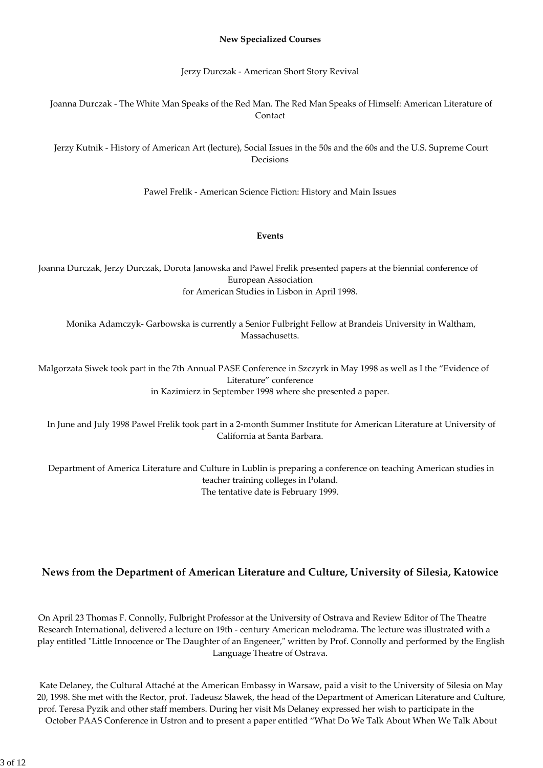#### **New Specialized Courses**

Jerzy Durczak ‐ American Short Story Revival

Joanna Durczak ‐ The White Man Speaks of the Red Man. The Red Man Speaks of Himself: American Literature of Contact

Jerzy Kutnik ‐ History of American Art (lecture), Social Issues in the 50s and the 60s and the U.S. Supreme Court Decisions

Pawel Frelik ‐ American Science Fiction: History and Main Issues

#### **Events**

Joanna Durczak, Jerzy Durczak, Dorota Janowska and Pawel Frelik presented papers at the biennial conference of European Association for American Studies in Lisbon in April 1998.

Monika Adamczyk‐ Garbowska is currently a Senior Fulbright Fellow at Brandeis University in Waltham, Massachusetts.

Malgorzata Siwek took part in the 7th Annual PASE Conference in Szczyrk in May 1998 as well as I the "Evidence of Literature" conference in Kazimierz in September 1998 where she presented a paper.

In June and July 1998 Pawel Frelik took part in a 2‐month Summer Institute for American Literature at University of California at Santa Barbara.

Department of America Literature and Culture in Lublin is preparing a conference on teaching American studies in teacher training colleges in Poland. The tentative date is February 1999.

# **News from the Department of American Literature and Culture, University of Silesia, Katowice**

On April 23 Thomas F. Connolly, Fulbright Professor at the University of Ostrava and Review Editor of The Theatre Research International, delivered a lecture on 19th ‐ century American melodrama. The lecture was illustrated with a play entitled "Little Innocence or The Daughter of an Engeneer," written by Prof. Connolly and performed by the English Language Theatre of Ostrava.

Kate Delaney, the Cultural Attaché at the American Embassy in Warsaw, paid a visit to the University of Silesia on May 20, 1998. She met with the Rector, prof. Tadeusz Slawek, the head of the Department of American Literature and Culture, prof. Teresa Pyzik and other staff members. During her visit Ms Delaney expressed her wish to participate in the October PAAS Conference in Ustron and to present a paper entitled "What Do We Talk About When We Talk About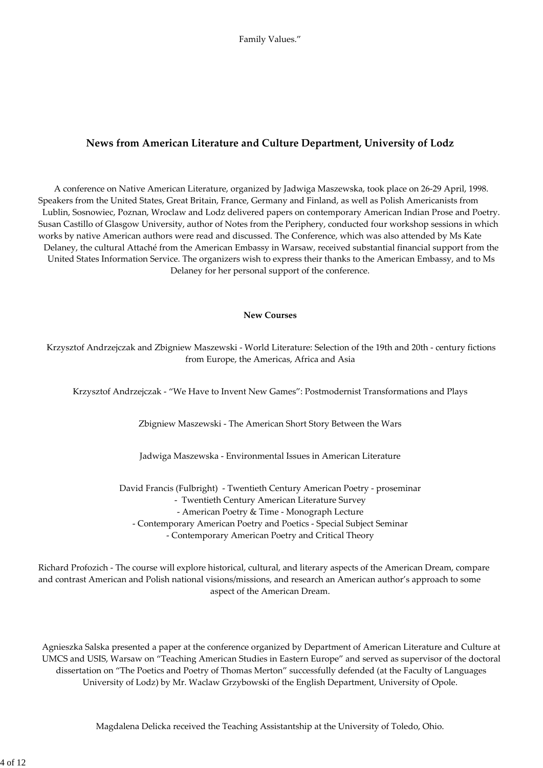# **News from American Literature and Culture Department, University of Lodz**

A conference on Native American Literature, organized by Jadwiga Maszewska, took place on 26‐29 April, 1998. Speakers from the United States, Great Britain, France, Germany and Finland, as well as Polish Americanists from Lublin, Sosnowiec, Poznan, Wroclaw and Lodz delivered papers on contemporary American Indian Prose and Poetry. Susan Castillo of Glasgow University, author of Notes from the Periphery, conducted four workshop sessions in which works by native American authors were read and discussed. The Conference, which was also attended by Ms Kate Delaney, the cultural Attaché from the American Embassy in Warsaw, received substantial financial support from the United States Information Service. The organizers wish to express their thanks to the American Embassy, and to Ms Delaney for her personal support of the conference.

#### **New Courses**

Krzysztof Andrzejczak and Zbigniew Maszewski ‐ World Literature: Selection of the 19th and 20th ‐ century fictions from Europe, the Americas, Africa and Asia

Krzysztof Andrzejczak ‐ "We Have to Invent New Games": Postmodernist Transformations and Plays

Zbigniew Maszewski ‐ The American Short Story Between the Wars

Jadwiga Maszewska ‐ Environmental Issues in American Literature

David Francis (Fulbright) ‐ Twentieth Century American Poetry ‐ proseminar ‐ Twentieth Century American Literature Survey ‐ American Poetry & Time ‐ Monograph Lecture ‐ Contemporary American Poetry and Poetics ‐ Special Subject Seminar ‐ Contemporary American Poetry and Critical Theory

Richard Profozich ‐ The course will explore historical, cultural, and literary aspects of the American Dream, compare and contrast American and Polish national visions/missions, and research an American author's approach to some aspect of the American Dream.

Agnieszka Salska presented a paper at the conference organized by Department of American Literature and Culture at UMCS and USIS, Warsaw on "Teaching American Studies in Eastern Europe" and served as supervisor of the doctoral dissertation on "The Poetics and Poetry of Thomas Merton" successfully defended (at the Faculty of Languages University of Lodz) by Mr. Waclaw Grzybowski of the English Department, University of Opole.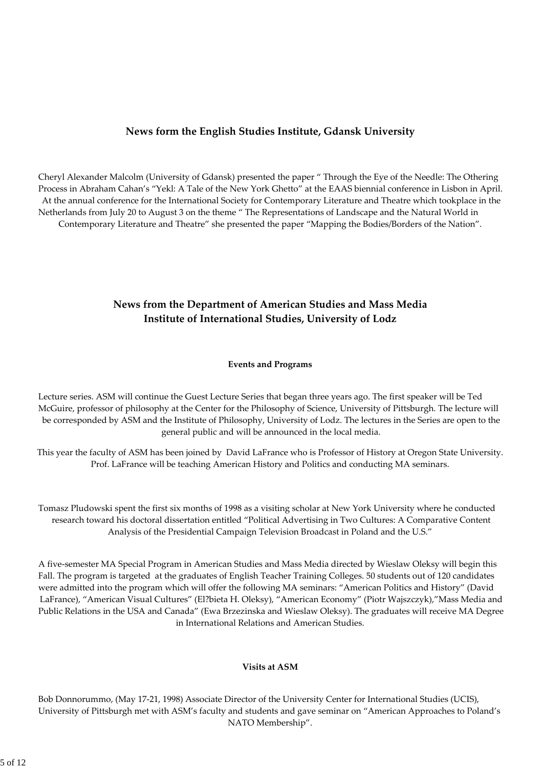# **News form the English Studies Institute, Gdansk University**

Cheryl Alexander Malcolm (University of Gdansk) presented the paper " Through the Eye of the Needle: The Othering Process in Abraham Cahan's "Yekl: A Tale of the New York Ghetto" at the EAAS biennial conference in Lisbon in April. At the annual conference for the International Society for Contemporary Literature and Theatre which tookplace in the Netherlands from July 20 to August 3 on the theme " The Representations of Landscape and the Natural World in Contemporary Literature and Theatre" she presented the paper "Mapping the Bodies/Borders of the Nation".

# **News from the Department of American Studies and Mass Media Institute of International Studies, University of Lodz**

#### **Events and Programs**

Lecture series. ASM will continue the Guest Lecture Series that began three years ago. The first speaker will be Ted McGuire, professor of philosophy at the Center for the Philosophy of Science, University of Pittsburgh. The lecture will be corresponded by ASM and the Institute of Philosophy, University of Lodz. The lectures in the Series are open to the general public and will be announced in the local media.

This year the faculty of ASM has been joined by David LaFrance who is Professor of History at Oregon State University. Prof. LaFrance will be teaching American History and Politics and conducting MA seminars.

Tomasz Pludowski spent the first six months of 1998 as a visiting scholar at New York University where he conducted research toward his doctoral dissertation entitled "Political Advertising in Two Cultures: A Comparative Content Analysis of the Presidential Campaign Television Broadcast in Poland and the U.S."

A five‐semester MA Special Program in American Studies and Mass Media directed by Wieslaw Oleksy will begin this Fall. The program is targeted at the graduates of English Teacher Training Colleges. 50 students out of 120 candidates were admitted into the program which will offer the following MA seminars: "American Politics and History" (David LaFrance), "American Visual Cultures" (El?bieta H. Oleksy), "American Economy" (Piotr Wajszczyk),"Mass Media and Public Relations in the USA and Canada" (Ewa Brzezinska and Wieslaw Oleksy). The graduates will receive MA Degree in International Relations and American Studies.

#### **Visits at ASM**

Bob Donnorummo, (May 17‐21, 1998) Associate Director of the University Center for International Studies (UCIS), University of Pittsburgh met with ASM's faculty and students and gave seminar on "American Approaches to Poland's NATO Membership".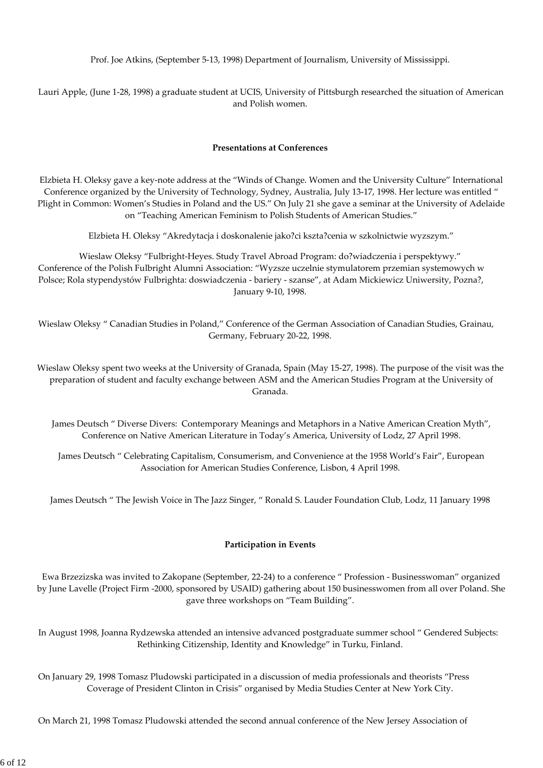Prof. Joe Atkins, (September 5‐13, 1998) Department of Journalism, University of Mississippi.

Lauri Apple, (June 1‐28, 1998) a graduate student at UCIS, University of Pittsburgh researched the situation of American and Polish women.

#### **Presentations at Conferences**

Elzbieta H. Oleksy gave a key‐note address at the "Winds of Change. Women and the University Culture" International Conference organized by the University of Technology, Sydney, Australia, July 13‐17, 1998. Her lecture was entitled " Plight in Common: Women's Studies in Poland and the US." On July 21 she gave a seminar at the University of Adelaide on "Teaching American Feminism to Polish Students of American Studies."

Elzbieta H. Oleksy "Akredytacja i doskonalenie jako?ci kszta?cenia w szkolnictwie wyzszym."

Wieslaw Oleksy "Fulbright‐Heyes. Study Travel Abroad Program: do?wiadczenia i perspektywy." Conference of the Polish Fulbright Alumni Association: "Wyzsze uczelnie stymulatorem przemian systemowych w Polsce; Rola stypendystów Fulbrighta: doswiadczenia ‐ bariery ‐ szanse", at Adam Mickiewicz Uniwersity, Pozna?, January 9‐10, 1998.

Wieslaw Oleksy " Canadian Studies in Poland," Conference of the German Association of Canadian Studies, Grainau, Germany, February 20‐22, 1998.

Wieslaw Oleksy spent two weeks at the University of Granada, Spain (May 15‐27, 1998). The purpose of the visit was the preparation of student and faculty exchange between ASM and the American Studies Program at the University of Granada.

James Deutsch " Diverse Divers: Contemporary Meanings and Metaphors in a Native American Creation Myth", Conference on Native American Literature in Today's America, University of Lodz, 27 April 1998.

James Deutsch " Celebrating Capitalism, Consumerism, and Convenience at the 1958 World's Fair", European Association for American Studies Conference, Lisbon, 4 April 1998.

James Deutsch " The Jewish Voice in The Jazz Singer, " Ronald S. Lauder Foundation Club, Lodz, 11 January 1998

## **Participation in Events**

Ewa Brzezizska was invited to Zakopane (September, 22‐24) to a conference " Profession ‐ Businesswoman" organized by June Lavelle (Project Firm ‐2000, sponsored by USAID) gathering about 150 businesswomen from all over Poland. She gave three workshops on "Team Building".

In August 1998, Joanna Rydzewska attended an intensive advanced postgraduate summer school " Gendered Subjects: Rethinking Citizenship, Identity and Knowledge" in Turku, Finland.

On January 29, 1998 Tomasz Pludowski participated in a discussion of media professionals and theorists "Press Coverage of President Clinton in Crisis" organised by Media Studies Center at New York City.

On March 21, 1998 Tomasz Pludowski attended the second annual conference of the New Jersey Association of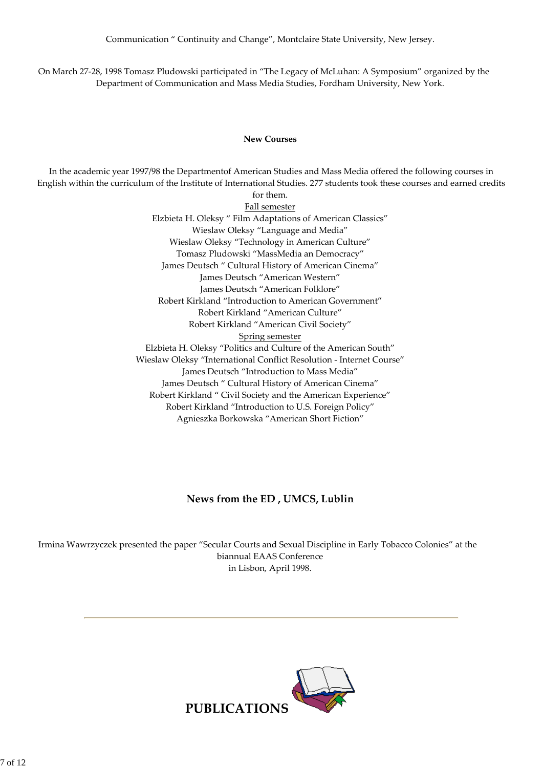On March 27‐28, 1998 Tomasz Pludowski participated in "The Legacy of McLuhan: A Symposium" organized by the Department of Communication and Mass Media Studies, Fordham University, New York.

#### **New Courses**

In the academic year 1997/98 the Departmentof American Studies and Mass Media offered the following courses in English within the curriculum of the Institute of International Studies. 277 students took these courses and earned credits

for them. Fall semester Elzbieta H. Oleksy " Film Adaptations of American Classics" Wieslaw Oleksy "Language and Media" Wieslaw Oleksy "Technology in American Culture" Tomasz Pludowski "MassMedia an Democracy" James Deutsch " Cultural History of American Cinema" James Deutsch "American Western" James Deutsch "American Folklore" Robert Kirkland "Introduction to American Government" Robert Kirkland "American Culture" Robert Kirkland "American Civil Society" Spring semester Elzbieta H. Oleksy "Politics and Culture of the American South" Wieslaw Oleksy "International Conflict Resolution ‐ Internet Course" James Deutsch "Introduction to Mass Media" James Deutsch " Cultural History of American Cinema" Robert Kirkland " Civil Society and the American Experience" Robert Kirkland "Introduction to U.S. Foreign Policy" Agnieszka Borkowska "American Short Fiction"

# **News from the ED , UMCS, Lublin**

Irmina Wawrzyczek presented the paper "Secular Courts and Sexual Discipline in Early Tobacco Colonies" at the biannual EAAS Conference in Lisbon, April 1998.

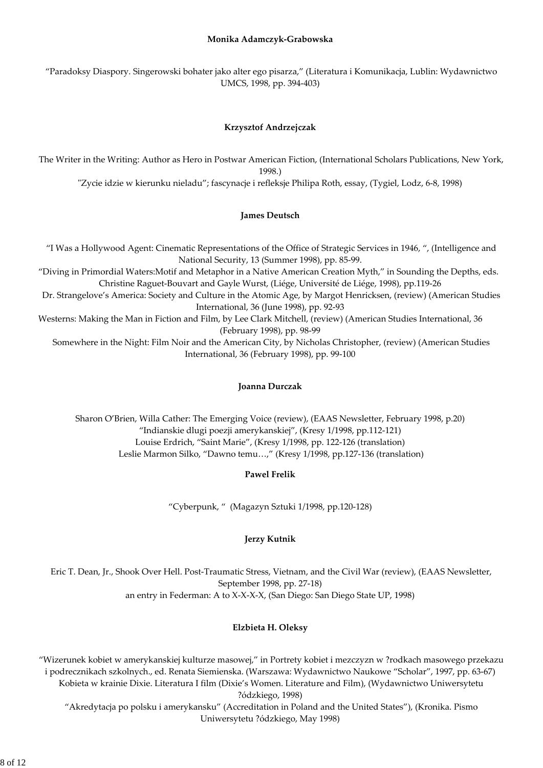#### **Monika Adamczyk‐Grabowska**

"Paradoksy Diaspory. Singerowski bohater jako alter ego pisarza," (Literatura i Komunikacja, Lublin: Wydawnictwo UMCS, 1998, pp. 394‐403)

## **Krzysztof Andrzejczak**

The Writer in the Writing: Author as Hero in Postwar American Fiction, (International Scholars Publications, New York, 1998.)

ʺZycie idzie w kierunku nieladu"; fascynacje i refleksje Philipa Roth, essay, (Tygiel, Lodz, 6‐8, 1998)

#### **James Deutsch**

"I Was a Hollywood Agent: Cinematic Representations of the Office of Strategic Services in 1946, ", (Intelligence and National Security, 13 (Summer 1998), pp. 85‐99. "Diving in Primordial Waters:Motif and Metaphor in a Native American Creation Myth," in Sounding the Depths, eds. Christine Raguet‐Bouvart and Gayle Wurst, (Liége, Université de Liége, 1998), pp.119‐26 Dr. Strangelove's America: Society and Culture in the Atomic Age, by Margot Henricksen, (review) (American Studies International, 36 (June 1998), pp. 92‐93 Westerns: Making the Man in Fiction and Film, by Lee Clark Mitchell, (review) (American Studies International, 36 (February 1998), pp. 98‐99 Somewhere in the Night: Film Noir and the American City, by Nicholas Christopher, (review) (American Studies International, 36 (February 1998), pp. 99‐100

#### **Joanna Durczak**

Sharon O'Brien, Willa Cather: The Emerging Voice (review), (EAAS Newsletter, February 1998, p.20) "Indianskie dlugi poezji amerykanskiej", (Kresy 1/1998, pp.112‐121) Louise Erdrich, "Saint Marie", (Kresy 1/1998, pp. 122‐126 (translation) Leslie Marmon Silko, "Dawno temu…," (Kresy 1/1998, pp.127‐136 (translation)

## **Pawel Frelik**

"Cyberpunk, " (Magazyn Sztuki 1/1998, pp.120‐128)

## **Jerzy Kutnik**

Eric T. Dean, Jr., Shook Over Hell. Post‐Traumatic Stress, Vietnam, and the Civil War (review), (EAAS Newsletter, September 1998, pp. 27‐18) an entry in Federman: A to X‐X‐X‐X, (San Diego: San Diego State UP, 1998)

## **Elzbieta H. Oleksy**

"Wizerunek kobiet w amerykanskiej kulturze masowej," in Portrety kobiet i mezczyzn w ?rodkach masowego przekazu i podrecznikach szkolnych., ed. Renata Siemienska. (Warszawa: Wydawnictwo Naukowe "Scholar", 1997, pp. 63‐67) Kobieta w krainie Dixie. Literatura I film (Dixie's Women. Literature and Film), (Wydawnictwo Uniwersytetu ?ódzkiego, 1998) "Akredytacja po polsku i amerykansku" (Accreditation in Poland and the United States"), (Kronika. Pismo

Uniwersytetu ?ódzkiego, May 1998)

8 of 12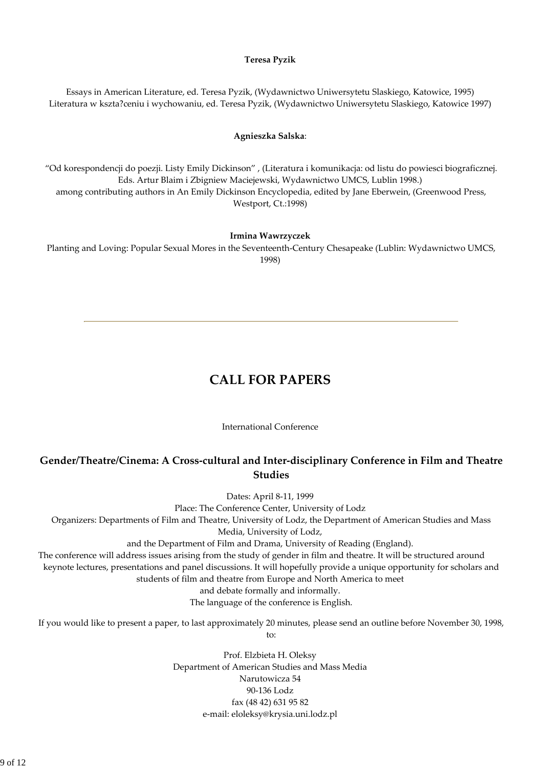#### **Teresa Pyzik**

Essays in American Literature, ed. Teresa Pyzik, (Wydawnictwo Uniwersytetu Slaskiego, Katowice, 1995) Literatura w kszta?ceniu i wychowaniu, ed. Teresa Pyzik, (Wydawnictwo Uniwersytetu Slaskiego, Katowice 1997)

#### **Agnieszka Salska**:

"Od korespondencji do poezji. Listy Emily Dickinson" , (Literatura i komunikacja: od listu do powiesci biograficznej. Eds. Artur Blaim i Zbigniew Maciejewski, Wydawnictwo UMCS, Lublin 1998.) among contributing authors in An Emily Dickinson Encyclopedia, edited by Jane Eberwein, (Greenwood Press, Westport, Ct.:1998)

#### **Irmina Wawrzyczek**

Planting and Loving: Popular Sexual Mores in the Seventeenth‐Century Chesapeake (Lublin: Wydawnictwo UMCS, 1998)

# **CALL FOR PAPERS**

International Conference

# **Gender/Theatre/Cinema: A Cross‐cultural and Inter‐disciplinary Conference in Film and Theatre Studies**

Dates: April 8‐11, 1999

Place: The Conference Center, University of Lodz

Organizers: Departments of Film and Theatre, University of Lodz, the Department of American Studies and Mass

Media, University of Lodz,

and the Department of Film and Drama, University of Reading (England).

The conference will address issues arising from the study of gender in film and theatre. It will be structured around keynote lectures, presentations and panel discussions. It will hopefully provide a unique opportunity for scholars and students of film and theatre from Europe and North America to meet

and debate formally and informally.

The language of the conference is English.

If you would like to present a paper, to last approximately 20 minutes, please send an outline before November 30, 1998, to:

> Prof. Elzbieta H. Oleksy Department of American Studies and Mass Media Narutowicza 54 90‐136 Lodz fax (48 42) 631 95 82 e‐mail: eloleksy@krysia.uni.lodz.pl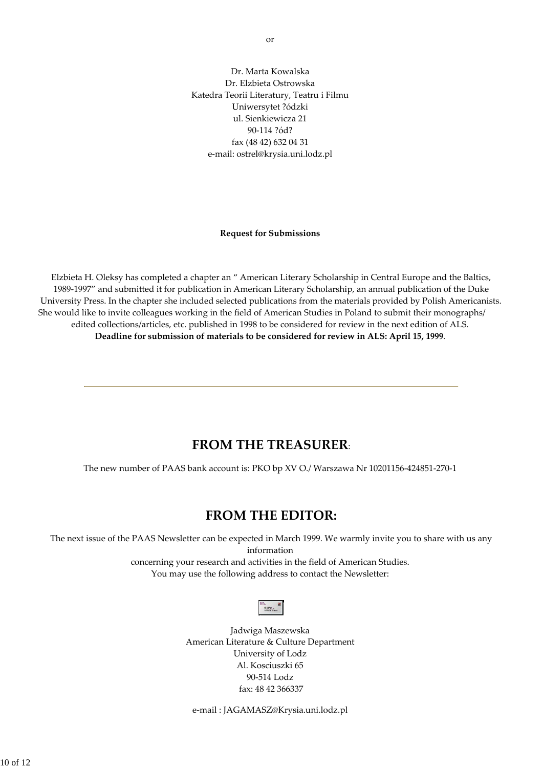Dr. Marta Kowalska Dr. Elzbieta Ostrowska Katedra Teorii Literatury, Teatru i Filmu Uniwersytet ?ódzki ul. Sienkiewicza 21 90‐114 ?ód? fax (48 42) 632 04 31 e‐mail: ostrel@krysia.uni.lodz.pl

#### **Request for Submissions**

Elzbieta H. Oleksy has completed a chapter an " American Literary Scholarship in Central Europe and the Baltics, 1989‐1997" and submitted it for publication in American Literary Scholarship, an annual publication of the Duke University Press. In the chapter she included selected publications from the materials provided by Polish Americanists. She would like to invite colleagues working in the field of American Studies in Poland to submit their monographs/ edited collections/articles, etc. published in 1998 to be considered for review in the next edition of ALS. **Deadline for submission of materials to be considered for review in ALS: April 15, 1999**.

# **FROM THE TREASURER**:

The new number of PAAS bank account is: PKO bp XV O./ Warszawa Nr 10201156‐424851‐270‐1

# **FROM THE EDITOR:**

The next issue of the PAAS Newsletter can be expected in March 1999. We warmly invite you to share with us any information concerning your research and activities in the field of American Studies. You may use the following address to contact the Newsletter:

| <b>Artistics</b><br><b>SAVEMB</b> |  |  |
|-----------------------------------|--|--|
|-----------------------------------|--|--|

Jadwiga Maszewska American Literature & Culture Department University of Lodz Al. Kosciuszki 65 90‐514 Lodz fax: 48 42 366337

e‐mail : JAGAMASZ@Krysia.uni.lodz.pl